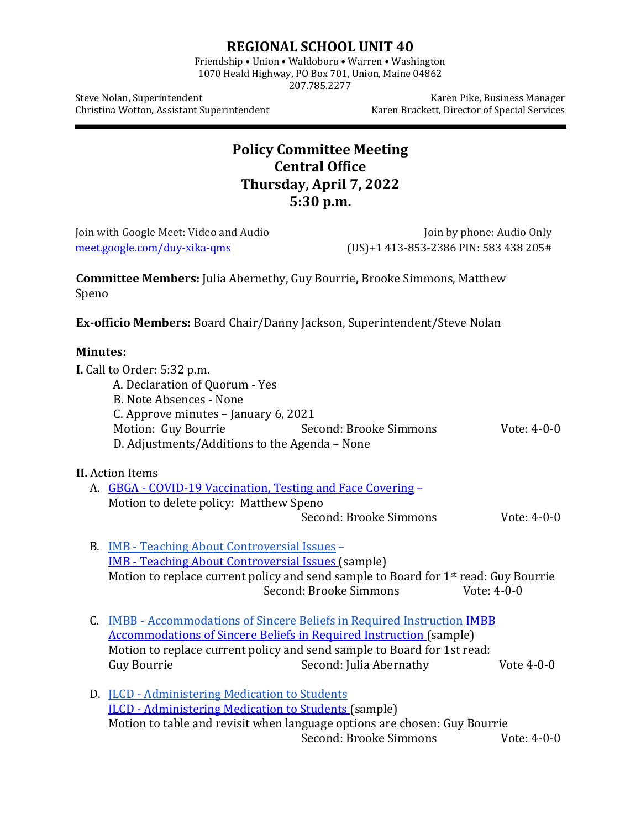## **REGIONAL SCHOOL UNIT 40**

Friendship • Union • Waldoboro • Warren • Washington 1070 Heald Highway, PO Box 701, Union, Maine 04862

207.785.2277

Christina Wotton, Assistant Superintendent

Steve Nolan, Superintendent Karen Pike, Business Manager<br>Christina Wotton, Assistant Superintendent Karen Brackett, Director of Special Services

## **Policy Committee Meeting Central Office Thursday, April 7, 2022 5:30 p.m.**

| Join with Google Meet: Video and Audio |                                                                                                                                                                                                                 |                                                                                                                                                                                                                                                                           | Join by phone: Audio Only             |  |
|----------------------------------------|-----------------------------------------------------------------------------------------------------------------------------------------------------------------------------------------------------------------|---------------------------------------------------------------------------------------------------------------------------------------------------------------------------------------------------------------------------------------------------------------------------|---------------------------------------|--|
| meet.google.com/duy-xika-qms           |                                                                                                                                                                                                                 |                                                                                                                                                                                                                                                                           | (US)+1 413-853-2386 PIN: 583 438 205# |  |
| Speno                                  |                                                                                                                                                                                                                 | <b>Committee Members: Julia Abernethy, Guy Bourrie, Brooke Simmons, Matthew</b>                                                                                                                                                                                           |                                       |  |
|                                        |                                                                                                                                                                                                                 | Ex-officio Members: Board Chair/Danny Jackson, Superintendent/Steve Nolan                                                                                                                                                                                                 |                                       |  |
| <b>Minutes:</b>                        |                                                                                                                                                                                                                 |                                                                                                                                                                                                                                                                           |                                       |  |
|                                        | I. Call to Order: 5:32 p.m.<br>A. Declaration of Quorum - Yes<br><b>B. Note Absences - None</b><br>C. Approve minutes - January 6, 2021<br>Motion: Guy Bourrie<br>D. Adjustments/Additions to the Agenda - None | Second: Brooke Simmons                                                                                                                                                                                                                                                    | Vote: 4-0-0                           |  |
|                                        | <b>II.</b> Action Items<br>A. GBGA - COVID-19 Vaccination, Testing and Face Covering -<br>Motion to delete policy: Matthew Speno                                                                                | Second: Brooke Simmons                                                                                                                                                                                                                                                    | Vote: 4-0-0                           |  |
|                                        | B. <b>IMB</b> - Teaching About Controversial Issues -<br><b>IMB - Teaching About Controversial Issues (sample)</b>                                                                                              | Motion to replace current policy and send sample to Board for 1 <sup>st</sup> read: Guy Bourrie<br>Second: Brooke Simmons                                                                                                                                                 | Vote: 4-0-0                           |  |
|                                        | <b>Guy Bourrie</b>                                                                                                                                                                                              | C. <b>IMBB</b> - Accommodations of Sincere Beliefs in Required Instruction <b>IMBB</b><br><b>Accommodations of Sincere Beliefs in Required Instruction (sample)</b><br>Motion to replace current policy and send sample to Board for 1st read:<br>Second: Julia Abernathy | Vote $4-0-0$                          |  |
|                                        | D. <b>ILCD</b> - Administering Medication to Students<br><b>ILCD</b> - Administering Medication to Students (sample)                                                                                            | Motion to table and revisit when language options are chosen: Guy Bourrie<br>Second: Brooke Simmons                                                                                                                                                                       | Vote: 4-0-0                           |  |